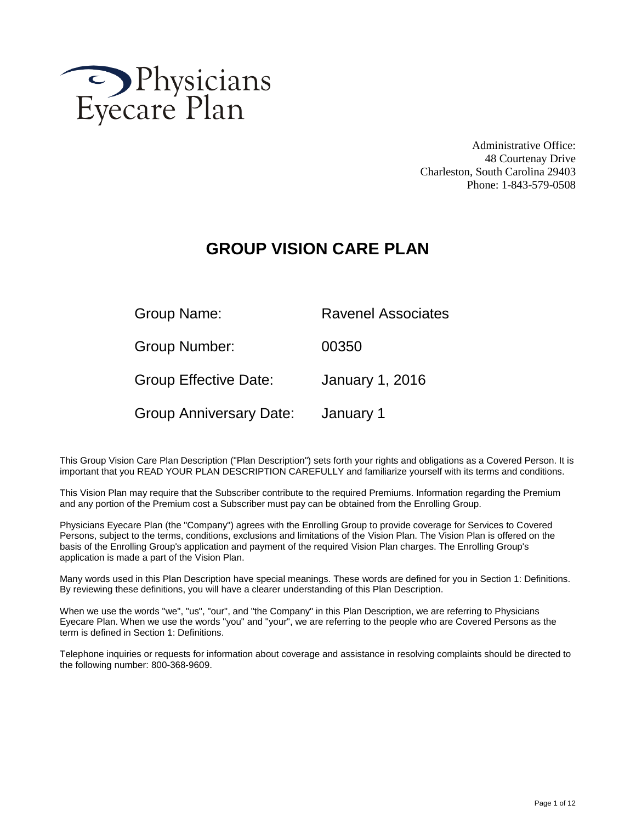

Administrative Office: 48 Courtenay Drive Charleston, South Carolina 29403 Phone: 1-843-579-0508

# **GROUP VISION CARE PLAN**

| Group Name:                    | <b>Ravenel Associates</b> |
|--------------------------------|---------------------------|
| Group Number:                  | 00350                     |
| <b>Group Effective Date:</b>   | <b>January 1, 2016</b>    |
| <b>Group Anniversary Date:</b> | January 1                 |

This Group Vision Care Plan Description ("Plan Description") sets forth your rights and obligations as a Covered Person. It is important that you READ YOUR PLAN DESCRIPTION CAREFULLY and familiarize yourself with its terms and conditions.

This Vision Plan may require that the Subscriber contribute to the required Premiums. Information regarding the Premium and any portion of the Premium cost a Subscriber must pay can be obtained from the Enrolling Group.

Physicians Eyecare Plan (the "Company") agrees with the Enrolling Group to provide coverage for Services to Covered Persons, subject to the terms, conditions, exclusions and limitations of the Vision Plan. The Vision Plan is offered on the basis of the Enrolling Group's application and payment of the required Vision Plan charges. The Enrolling Group's application is made a part of the Vision Plan.

Many words used in this Plan Description have special meanings. These words are defined for you in Section 1: Definitions. By reviewing these definitions, you will have a clearer understanding of this Plan Description.

When we use the words "we", "us", "our", and "the Company" in this Plan Description, we are referring to Physicians Eyecare Plan. When we use the words "you" and "your", we are referring to the people who are Covered Persons as the term is defined in Section 1: Definitions.

Telephone inquiries or requests for information about coverage and assistance in resolving complaints should be directed to the following number: 800-368-9609.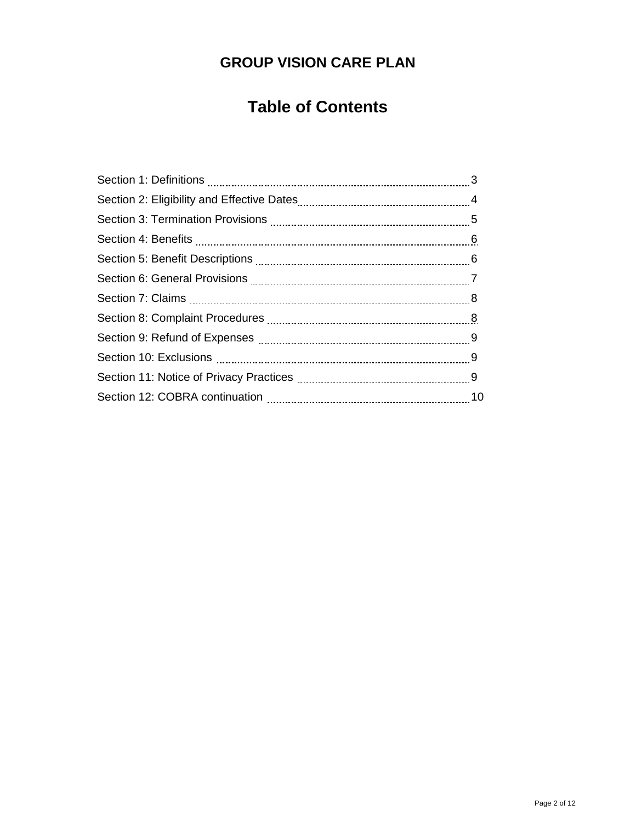# **GROUP VISION CARE PLAN**

# **Table of Contents**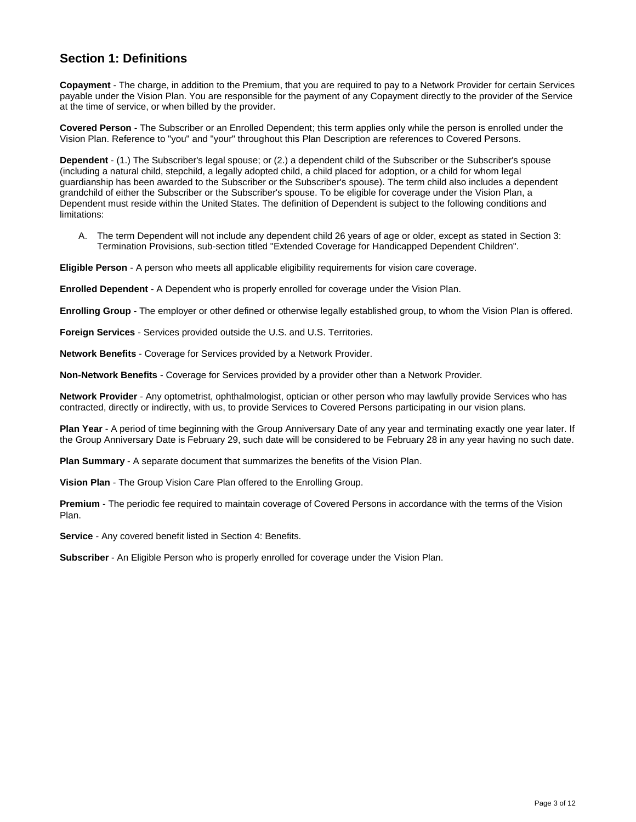# **Section 1: Definitions**

**Copayment** - The charge, in addition to the Premium, that you are required to pay to a Network Provider for certain Services payable under the Vision Plan. You are responsible for the payment of any Copayment directly to the provider of the Service at the time of service, or when billed by the provider.

**Covered Person** - The Subscriber or an Enrolled Dependent; this term applies only while the person is enrolled under the Vision Plan. Reference to "you" and "your" throughout this Plan Description are references to Covered Persons.

**Dependent** - (1.) The Subscriber's legal spouse; or (2.) a dependent child of the Subscriber or the Subscriber's spouse (including a natural child, stepchild, a legally adopted child, a child placed for adoption, or a child for whom legal guardianship has been awarded to the Subscriber or the Subscriber's spouse). The term child also includes a dependent grandchild of either the Subscriber or the Subscriber's spouse. To be eligible for coverage under the Vision Plan, a Dependent must reside within the United States. The definition of Dependent is subject to the following conditions and limitations:

A. The term Dependent will not include any dependent child 26 years of age or older, except as stated in Section 3: Termination Provisions, sub-section titled "Extended Coverage for Handicapped Dependent Children".

**Eligible Person** - A person who meets all applicable eligibility requirements for vision care coverage.

**Enrolled Dependent** - A Dependent who is properly enrolled for coverage under the Vision Plan.

**Enrolling Group** - The employer or other defined or otherwise legally established group, to whom the Vision Plan is offered.

**Foreign Services** - Services provided outside the U.S. and U.S. Territories.

**Network Benefits** - Coverage for Services provided by a Network Provider.

**Non-Network Benefits** - Coverage for Services provided by a provider other than a Network Provider.

**Network Provider** - Any optometrist, ophthalmologist, optician or other person who may lawfully provide Services who has contracted, directly or indirectly, with us, to provide Services to Covered Persons participating in our vision plans.

**Plan Year** - A period of time beginning with the Group Anniversary Date of any year and terminating exactly one year later. If the Group Anniversary Date is February 29, such date will be considered to be February 28 in any year having no such date.

**Plan Summary** - A separate document that summarizes the benefits of the Vision Plan.

**Vision Plan** - The Group Vision Care Plan offered to the Enrolling Group.

**Premium** - The periodic fee required to maintain coverage of Covered Persons in accordance with the terms of the Vision Plan.

**Service** - Any covered benefit listed in Section 4: Benefits.

**Subscriber** - An Eligible Person who is properly enrolled for coverage under the Vision Plan.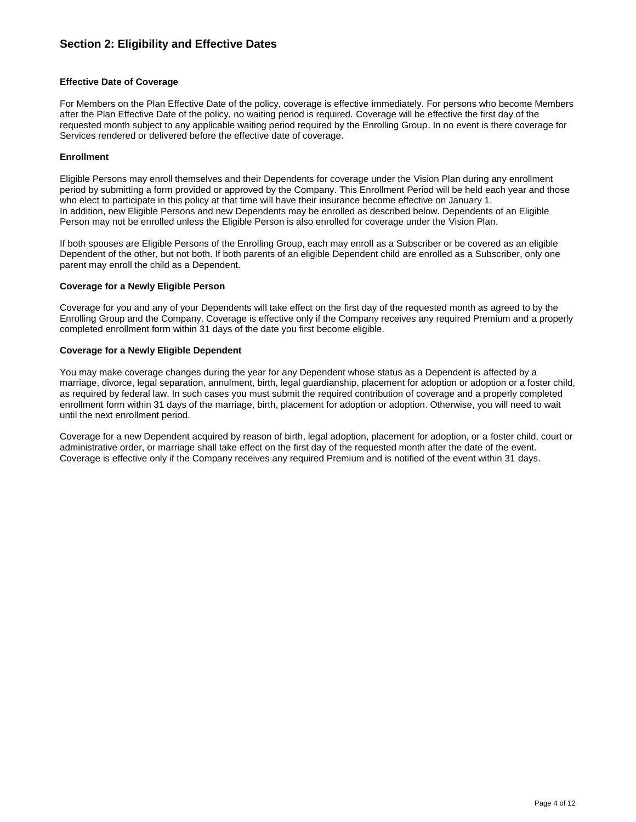# **Section 2: Eligibility and Effective Dates**

### **Effective Date of Coverage**

For Members on the Plan Effective Date of the policy, coverage is effective immediately. For persons who become Members after the Plan Effective Date of the policy, no waiting period is required. Coverage will be effective the first day of the requested month subject to any applicable waiting period required by the Enrolling Group. In no event is there coverage for Services rendered or delivered before the effective date of coverage.

### **Enrollment**

Eligible Persons may enroll themselves and their Dependents for coverage under the Vision Plan during any enrollment period by submitting a form provided or approved by the Company. This Enrollment Period will be held each year and those who elect to participate in this policy at that time will have their insurance become effective on January 1. In addition, new Eligible Persons and new Dependents may be enrolled as described below. Dependents of an Eligible Person may not be enrolled unless the Eligible Person is also enrolled for coverage under the Vision Plan.

If both spouses are Eligible Persons of the Enrolling Group, each may enroll as a Subscriber or be covered as an eligible Dependent of the other, but not both. If both parents of an eligible Dependent child are enrolled as a Subscriber, only one parent may enroll the child as a Dependent.

#### **Coverage for a Newly Eligible Person**

Coverage for you and any of your Dependents will take effect on the first day of the requested month as agreed to by the Enrolling Group and the Company. Coverage is effective only if the Company receives any required Premium and a properly completed enrollment form within 31 days of the date you first become eligible.

#### **Coverage for a Newly Eligible Dependent**

You may make coverage changes during the year for any Dependent whose status as a Dependent is affected by a marriage, divorce, legal separation, annulment, birth, legal guardianship, placement for adoption or adoption or a foster child, as required by federal law. In such cases you must submit the required contribution of coverage and a properly completed enrollment form within 31 days of the marriage, birth, placement for adoption or adoption. Otherwise, you will need to wait until the next enrollment period.

Coverage for a new Dependent acquired by reason of birth, legal adoption, placement for adoption, or a foster child, court or administrative order, or marriage shall take effect on the first day of the requested month after the date of the event. Coverage is effective only if the Company receives any required Premium and is notified of the event within 31 days.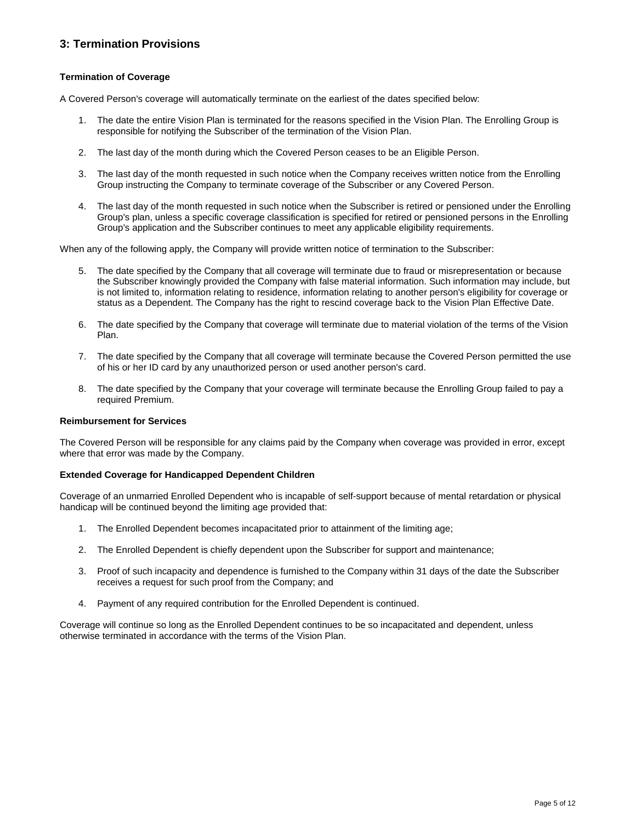# **3: Termination Provisions**

## **Termination of Coverage**

A Covered Person's coverage will automatically terminate on the earliest of the dates specified below:

- 1. The date the entire Vision Plan is terminated for the reasons specified in the Vision Plan. The Enrolling Group is responsible for notifying the Subscriber of the termination of the Vision Plan.
- 2. The last day of the month during which the Covered Person ceases to be an Eligible Person.
- 3. The last day of the month requested in such notice when the Company receives written notice from the Enrolling Group instructing the Company to terminate coverage of the Subscriber or any Covered Person.
- 4. The last day of the month requested in such notice when the Subscriber is retired or pensioned under the Enrolling Group's plan, unless a specific coverage classification is specified for retired or pensioned persons in the Enrolling Group's application and the Subscriber continues to meet any applicable eligibility requirements.

When any of the following apply, the Company will provide written notice of termination to the Subscriber:

- 5. The date specified by the Company that all coverage will terminate due to fraud or misrepresentation or because the Subscriber knowingly provided the Company with false material information. Such information may include, but is not limited to, information relating to residence, information relating to another person's eligibility for coverage or status as a Dependent. The Company has the right to rescind coverage back to the Vision Plan Effective Date.
- 6. The date specified by the Company that coverage will terminate due to material violation of the terms of the Vision Plan.
- 7. The date specified by the Company that all coverage will terminate because the Covered Person permitted the use of his or her ID card by any unauthorized person or used another person's card.
- 8. The date specified by the Company that your coverage will terminate because the Enrolling Group failed to pay a required Premium.

#### **Reimbursement for Services**

The Covered Person will be responsible for any claims paid by the Company when coverage was provided in error, except where that error was made by the Company.

#### **Extended Coverage for Handicapped Dependent Children**

Coverage of an unmarried Enrolled Dependent who is incapable of self-support because of mental retardation or physical handicap will be continued beyond the limiting age provided that:

- 1. The Enrolled Dependent becomes incapacitated prior to attainment of the limiting age;
- 2. The Enrolled Dependent is chiefly dependent upon the Subscriber for support and maintenance;
- 3. Proof of such incapacity and dependence is furnished to the Company within 31 days of the date the Subscriber receives a request for such proof from the Company; and
- 4. Payment of any required contribution for the Enrolled Dependent is continued.

Coverage will continue so long as the Enrolled Dependent continues to be so incapacitated and dependent, unless otherwise terminated in accordance with the terms of the Vision Plan.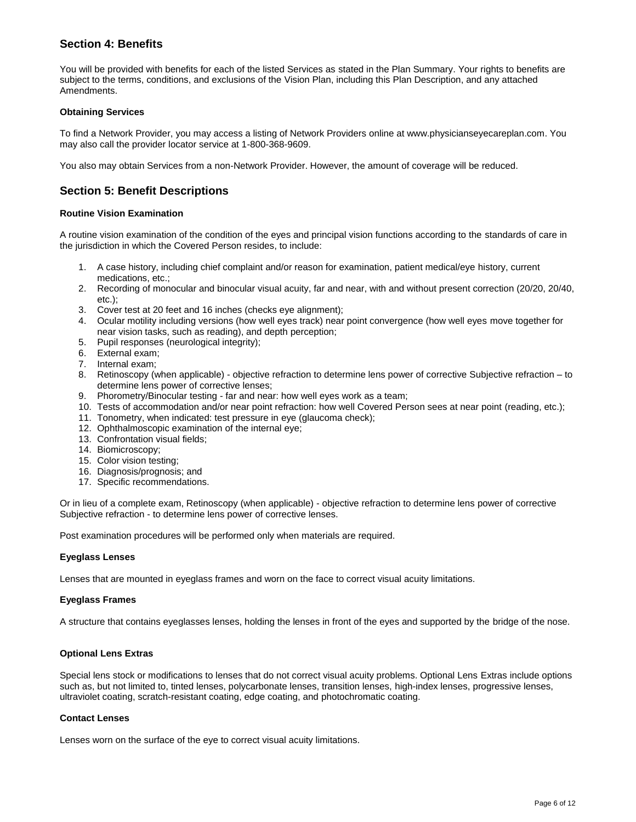# **Section 4: Benefits**

You will be provided with benefits for each of the listed Services as stated in the Plan Summary. Your rights to benefits are subject to the terms, conditions, and exclusions of the Vision Plan, including this Plan Description, and any attached Amendments.

# **Obtaining Services**

To find a Network Provider, you may access a listing of Network Providers online at www.physicianseyecareplan.com. You may also call the provider locator service at 1-800-368-9609.

You also may obtain Services from a non-Network Provider. However, the amount of coverage will be reduced.

# **Section 5: Benefit Descriptions**

## **Routine Vision Examination**

A routine vision examination of the condition of the eyes and principal vision functions according to the standards of care in the jurisdiction in which the Covered Person resides, to include:

- 1. A case history, including chief complaint and/or reason for examination, patient medical/eye history, current medications, etc.;
- 2. Recording of monocular and binocular visual acuity, far and near, with and without present correction (20/20, 20/40, etc.);
- 3. Cover test at 20 feet and 16 inches (checks eye alignment);
- 4. Ocular motility including versions (how well eyes track) near point convergence (how well eyes move together for near vision tasks, such as reading), and depth perception;
- 5. Pupil responses (neurological integrity);
- 6. External exam;
- 7. Internal exam;
- 8. Retinoscopy (when applicable) objective refraction to determine lens power of corrective Subjective refraction to determine lens power of corrective lenses;
- 9. Phorometry/Binocular testing far and near: how well eyes work as a team;
- 10. Tests of accommodation and/or near point refraction: how well Covered Person sees at near point (reading, etc.);
- 11. Tonometry, when indicated: test pressure in eye (glaucoma check);
- 12. Ophthalmoscopic examination of the internal eye;
- 13. Confrontation visual fields;
- 14. Biomicroscopy;
- 15. Color vision testing;
- 16. Diagnosis/prognosis; and
- 17. Specific recommendations.

Or in lieu of a complete exam, Retinoscopy (when applicable) - objective refraction to determine lens power of corrective Subjective refraction - to determine lens power of corrective lenses.

Post examination procedures will be performed only when materials are required.

## **Eyeglass Lenses**

Lenses that are mounted in eyeglass frames and worn on the face to correct visual acuity limitations.

## **Eyeglass Frames**

A structure that contains eyeglasses lenses, holding the lenses in front of the eyes and supported by the bridge of the nose.

## **Optional Lens Extras**

Special lens stock or modifications to lenses that do not correct visual acuity problems. Optional Lens Extras include options such as, but not limited to, tinted lenses, polycarbonate lenses, transition lenses, high-index lenses, progressive lenses, ultraviolet coating, scratch-resistant coating, edge coating, and photochromatic coating.

## **Contact Lenses**

Lenses worn on the surface of the eye to correct visual acuity limitations.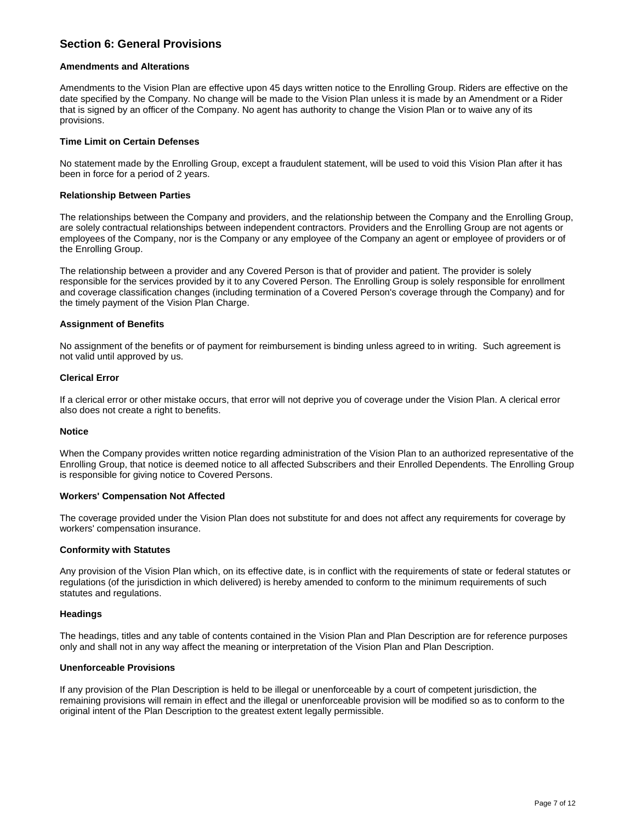# **Section 6: General Provisions**

#### **Amendments and Alterations**

Amendments to the Vision Plan are effective upon 45 days written notice to the Enrolling Group. Riders are effective on the date specified by the Company. No change will be made to the Vision Plan unless it is made by an Amendment or a Rider that is signed by an officer of the Company. No agent has authority to change the Vision Plan or to waive any of its provisions.

#### **Time Limit on Certain Defenses**

No statement made by the Enrolling Group, except a fraudulent statement, will be used to void this Vision Plan after it has been in force for a period of 2 years.

#### **Relationship Between Parties**

The relationships between the Company and providers, and the relationship between the Company and the Enrolling Group, are solely contractual relationships between independent contractors. Providers and the Enrolling Group are not agents or employees of the Company, nor is the Company or any employee of the Company an agent or employee of providers or of the Enrolling Group.

The relationship between a provider and any Covered Person is that of provider and patient. The provider is solely responsible for the services provided by it to any Covered Person. The Enrolling Group is solely responsible for enrollment and coverage classification changes (including termination of a Covered Person's coverage through the Company) and for the timely payment of the Vision Plan Charge.

#### **Assignment of Benefits**

No assignment of the benefits or of payment for reimbursement is binding unless agreed to in writing. Such agreement is not valid until approved by us.

#### **Clerical Error**

If a clerical error or other mistake occurs, that error will not deprive you of coverage under the Vision Plan. A clerical error also does not create a right to benefits.

#### **Notice**

When the Company provides written notice regarding administration of the Vision Plan to an authorized representative of the Enrolling Group, that notice is deemed notice to all affected Subscribers and their Enrolled Dependents. The Enrolling Group is responsible for giving notice to Covered Persons.

#### **Workers' Compensation Not Affected**

The coverage provided under the Vision Plan does not substitute for and does not affect any requirements for coverage by workers' compensation insurance.

#### **Conformity with Statutes**

Any provision of the Vision Plan which, on its effective date, is in conflict with the requirements of state or federal statutes or regulations (of the jurisdiction in which delivered) is hereby amended to conform to the minimum requirements of such statutes and regulations.

#### **Headings**

The headings, titles and any table of contents contained in the Vision Plan and Plan Description are for reference purposes only and shall not in any way affect the meaning or interpretation of the Vision Plan and Plan Description.

## **Unenforceable Provisions**

If any provision of the Plan Description is held to be illegal or unenforceable by a court of competent jurisdiction, the remaining provisions will remain in effect and the illegal or unenforceable provision will be modified so as to conform to the original intent of the Plan Description to the greatest extent legally permissible.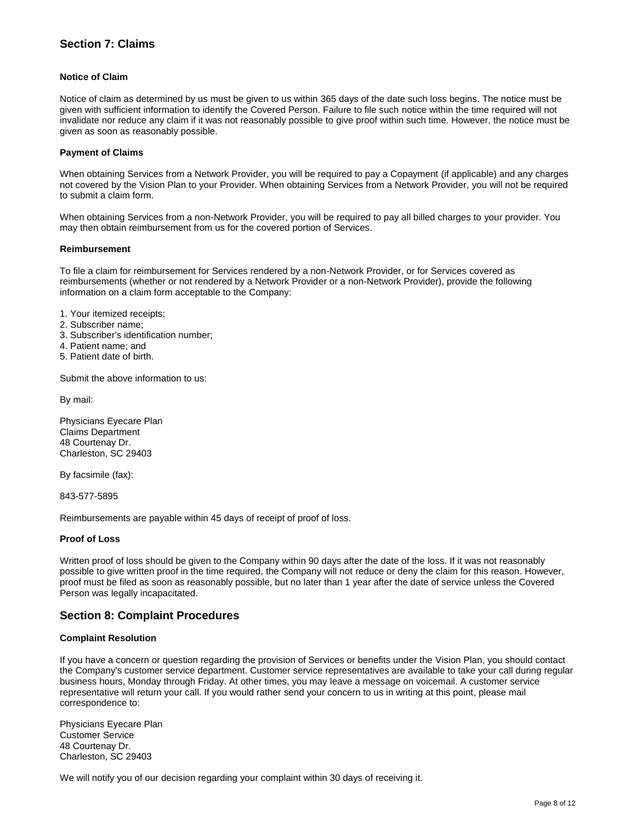# **Section 7: Claims**

## **Notice of Claim**

Notice of claim as determined by us must be given to us within 365 days of the date such loss begins. The notice must be given with sufficient information to identify the Covered Person. Failure to file such notice within the time required will not invalidate nor reduce any claim if it was not reasonably possible to give proof within such time. However, the notice must be given as soon as reasonably possible.

## **Payment of Claims**

When obtaining Services from a Network Provider, you will be required to pay a Copayment (if applicable) and any charges not covered by the Vision Plan to your Provider. When obtaining Services from a Network Provider, you will not be required to submit a claim form.

When obtaining Services from a non-Network Provider, you will be required to pay all billed charges to your provider. You may then obtain reimbursement from us for the covered portion of Services.

#### **Reimbursement**

To file a claim for reimbursement for Services rendered by a non-Network Provider, or for Services covered as reimbursements (whether or not rendered by a Network Provider or a non-Network Provider), provide the following information on a claim form acceptable to the Company:

- 1. Your itemized receipts;
- 2. Subscriber name;
- 3. Subscriber's identification number;
- 4. Patient name; and
- 5. Patient date of birth.

Submit the above information to us:

By mail:

Physicians Eyecare Plan Claims Department 48 Courtenay Dr. Charleston, SC 29403

By facsimile (fax):

843-577-5895

Reimbursements are payable within 45 days of receipt of proof of loss.

## **Proof of Loss**

Written proof of loss should be given to the Company within 90 days after the date of the loss. If it was not reasonably possible to give written proof in the time required, the Company will not reduce or deny the claim for this reason. However, proof must be filed as soon as reasonably possible, but no later than 1 year after the date of service unless the Covered Person was legally incapacitated.

# **Section 8: Complaint Procedures**

## **Complaint Resolution**

If you have a concern or question regarding the provision of Services or benefits under the Vision Plan, you should contact the Company's customer service department. Customer service representatives are available to take your call during regular business hours, Monday through Friday. At other times, you may leave a message on voicemail. A customer service representative will return your call. If you would rather send your concern to us in writing at this point, please mail correspondence to:

Physicians Eyecare Plan Customer Service 48 Courtenay Dr. Charleston, SC 29403

We will notify you of our decision regarding your complaint within 30 days of receiving it.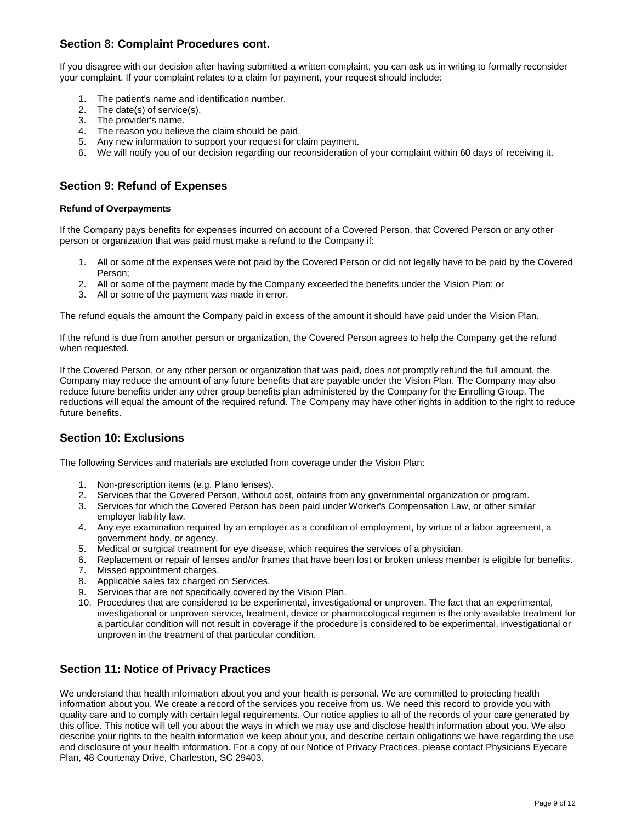# **Section 8: Complaint Procedures cont.**

If you disagree with our decision after having submitted a written complaint, you can ask us in writing to formally reconsider your complaint. If your complaint relates to a claim for payment, your request should include:

- 1. The patient's name and identification number.
- 2. The date(s) of service(s).
- 3. The provider's name.
- 4. The reason you believe the claim should be paid.
- 5. Any new information to support your request for claim payment.
- 6. We will notify you of our decision regarding our reconsideration of your complaint within 60 days of receiving it.

# **Section 9: Refund of Expenses**

# **Refund of Overpayments**

If the Company pays benefits for expenses incurred on account of a Covered Person, that Covered Person or any other person or organization that was paid must make a refund to the Company if:

- 1. All or some of the expenses were not paid by the Covered Person or did not legally have to be paid by the Covered Person;
- 2. All or some of the payment made by the Company exceeded the benefits under the Vision Plan; or
- 3. All or some of the payment was made in error.

The refund equals the amount the Company paid in excess of the amount it should have paid under the Vision Plan.

If the refund is due from another person or organization, the Covered Person agrees to help the Company get the refund when requested.

If the Covered Person, or any other person or organization that was paid, does not promptly refund the full amount, the Company may reduce the amount of any future benefits that are payable under the Vision Plan. The Company may also reduce future benefits under any other group benefits plan administered by the Company for the Enrolling Group. The reductions will equal the amount of the required refund. The Company may have other rights in addition to the right to reduce future benefits.

# **Section 10: Exclusions**

The following Services and materials are excluded from coverage under the Vision Plan:

- 1. Non-prescription items (e.g. Plano lenses).
- 2. Services that the Covered Person, without cost, obtains from any governmental organization or program.
- 3. Services for which the Covered Person has been paid under Worker's Compensation Law, or other similar employer liability law.
- 4. Any eye examination required by an employer as a condition of employment, by virtue of a labor agreement, a government body, or agency.
- 5. Medical or surgical treatment for eye disease, which requires the services of a physician.
- 6. Replacement or repair of lenses and/or frames that have been lost or broken unless member is eligible for benefits.
- 7. Missed appointment charges.
- 8. Applicable sales tax charged on Services.
- 9. Services that are not specifically covered by the Vision Plan.
- 10. Procedures that are considered to be experimental, investigational or unproven. The fact that an experimental, investigational or unproven service, treatment, device or pharmacological regimen is the only available treatment for a particular condition will not result in coverage if the procedure is considered to be experimental, investigational or unproven in the treatment of that particular condition.

# **Section 11: Notice of Privacy Practices**

We understand that health information about you and your health is personal. We are committed to protecting health information about you. We create a record of the services you receive from us. We need this record to provide you with quality care and to comply with certain legal requirements. Our notice applies to all of the records of your care generated by this office. This notice will tell you about the ways in which we may use and disclose health information about you. We also describe your rights to the health information we keep about you, and describe certain obligations we have regarding the use and disclosure of your health information. For a copy of our Notice of Privacy Practices, please contact Physicians Eyecare Plan, 48 Courtenay Drive, Charleston, SC 29403.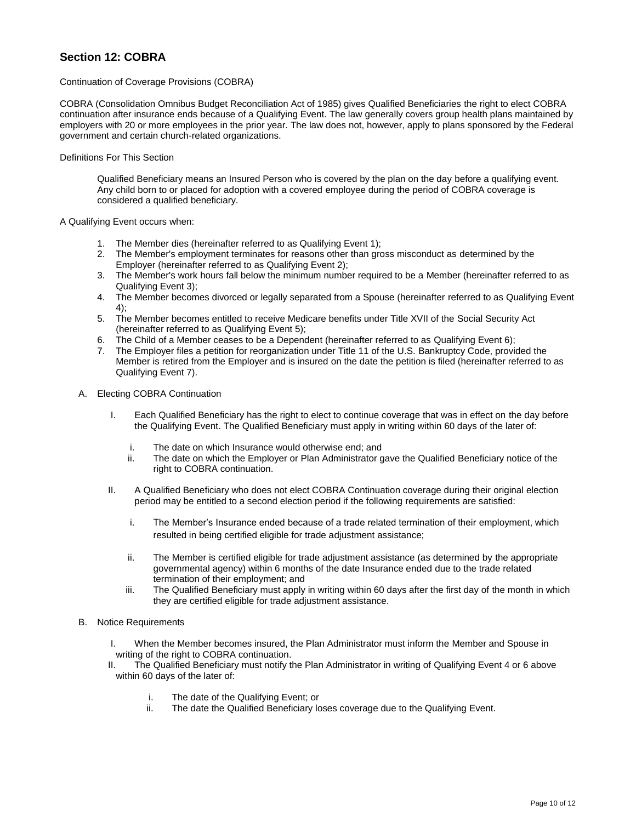# **Section 12: COBRA**

#### Continuation of Coverage Provisions (COBRA)

COBRA (Consolidation Omnibus Budget Reconciliation Act of 1985) gives Qualified Beneficiaries the right to elect COBRA continuation after insurance ends because of a Qualifying Event. The law generally covers group health plans maintained by employers with 20 or more employees in the prior year. The law does not, however, apply to plans sponsored by the Federal government and certain church-related organizations.

### Definitions For This Section

Qualified Beneficiary means an Insured Person who is covered by the plan on the day before a qualifying event. Any child born to or placed for adoption with a covered employee during the period of COBRA coverage is considered a qualified beneficiary.

#### A Qualifying Event occurs when:

- 1. The Member dies (hereinafter referred to as Qualifying Event 1);
- 2. The Member's employment terminates for reasons other than gross misconduct as determined by the Employer (hereinafter referred to as Qualifying Event 2);
- 3. The Member's work hours fall below the minimum number required to be a Member (hereinafter referred to as Qualifying Event 3);
- 4. The Member becomes divorced or legally separated from a Spouse (hereinafter referred to as Qualifying Event 4);
- 5. The Member becomes entitled to receive Medicare benefits under Title XVII of the Social Security Act (hereinafter referred to as Qualifying Event 5);
- 6. The Child of a Member ceases to be a Dependent (hereinafter referred to as Qualifying Event 6);
- 7. The Employer files a petition for reorganization under Title 11 of the U.S. Bankruptcy Code, provided the Member is retired from the Employer and is insured on the date the petition is filed (hereinafter referred to as Qualifying Event 7).
- A. Electing COBRA Continuation
	- I. Each Qualified Beneficiary has the right to elect to continue coverage that was in effect on the day before the Qualifying Event. The Qualified Beneficiary must apply in writing within 60 days of the later of:
		- i. The date on which Insurance would otherwise end; and
		- ii. The date on which the Employer or Plan Administrator gave the Qualified Beneficiary notice of the right to COBRA continuation.
	- II. A Qualified Beneficiary who does not elect COBRA Continuation coverage during their original election period may be entitled to a second election period if the following requirements are satisfied:
		- i. The Member's Insurance ended because of a trade related termination of their employment, which resulted in being certified eligible for trade adjustment assistance;
		- ii. The Member is certified eligible for trade adjustment assistance (as determined by the appropriate governmental agency) within 6 months of the date Insurance ended due to the trade related termination of their employment; and
		- iii. The Qualified Beneficiary must apply in writing within 60 days after the first day of the month in which they are certified eligible for trade adjustment assistance.
- B. Notice Requirements
	- I. When the Member becomes insured, the Plan Administrator must inform the Member and Spouse in writing of the right to COBRA continuation.
	- II. The Qualified Beneficiary must notify the Plan Administrator in writing of Qualifying Event 4 or 6 above within 60 days of the later of:
		- i. The date of the Qualifying Event; or
		- ii. The date the Qualified Beneficiary loses coverage due to the Qualifying Event.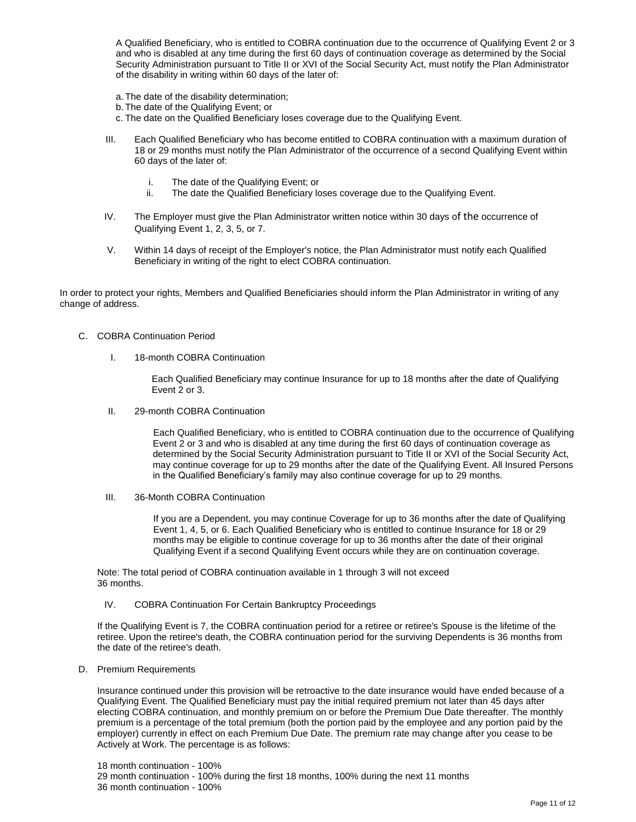A Qualified Beneficiary, who is entitled to COBRA continuation due to the occurrence of Qualifying Event 2 or 3 and who is disabled at any time during the first 60 days of continuation coverage as determined by the Social Security Administration pursuant to Title II or XVI of the Social Security Act, must notify the Plan Administrator of the disability in writing within 60 days of the later of:

- a. The date of the disability determination;
- b. The date of the Qualifying Event; or
- c. The date on the Qualified Beneficiary loses coverage due to the Qualifying Event.
- III. Each Qualified Beneficiary who has become entitled to COBRA continuation with a maximum duration of 18 or 29 months must notify the Plan Administrator of the occurrence of a second Qualifying Event within 60 days of the later of:
	- i. The date of the Qualifying Event; or
	- ii. The date the Qualified Beneficiary loses coverage due to the Qualifying Event.
- IV. The Employer must give the Plan Administrator written notice within 30 days of the occurrence of Qualifying Event 1, 2, 3, 5, or 7.
- V. Within 14 days of receipt of the Employer's notice, the Plan Administrator must notify each Qualified Beneficiary in writing of the right to elect COBRA continuation.

In order to protect your rights, Members and Qualified Beneficiaries should inform the Plan Administrator in writing of any change of address.

#### C. COBRA Continuation Period

I. 18-month COBRA Continuation

Each Qualified Beneficiary may continue Insurance for up to 18 months after the date of Qualifying Event 2 or 3.

II. 29-month COBRA Continuation

Each Qualified Beneficiary, who is entitled to COBRA continuation due to the occurrence of Qualifying Event 2 or 3 and who is disabled at any time during the first 60 days of continuation coverage as determined by the Social Security Administration pursuant to Title II or XVI of the Social Security Act, may continue coverage for up to 29 months after the date of the Qualifying Event. All Insured Persons in the Qualified Beneficiary's family may also continue coverage for up to 29 months.

III. 36-Month COBRA Continuation

If you are a Dependent, you may continue Coverage for up to 36 months after the date of Qualifying Event 1, 4, 5, or 6. Each Qualified Beneficiary who is entitled to continue Insurance for 18 or 29 months may be eligible to continue coverage for up to 36 months after the date of their original Qualifying Event if a second Qualifying Event occurs while they are on continuation coverage.

Note: The total period of COBRA continuation available in 1 through 3 will not exceed 36 months.

#### IV. COBRA Continuation For Certain Bankruptcy Proceedings

If the Qualifying Event is 7, the COBRA continuation period for a retiree or retiree's Spouse is the lifetime of the retiree. Upon the retiree's death, the COBRA continuation period for the surviving Dependents is 36 months from the date of the retiree's death.

D. Premium Requirements

Insurance continued under this provision will be retroactive to the date insurance would have ended because of a Qualifying Event. The Qualified Beneficiary must pay the initial required premium not later than 45 days after electing COBRA continuation, and monthly premium on or before the Premium Due Date thereafter. The monthly premium is a percentage of the total premium (both the portion paid by the employee and any portion paid by the employer) currently in effect on each Premium Due Date. The premium rate may change after you cease to be Actively at Work. The percentage is as follows: